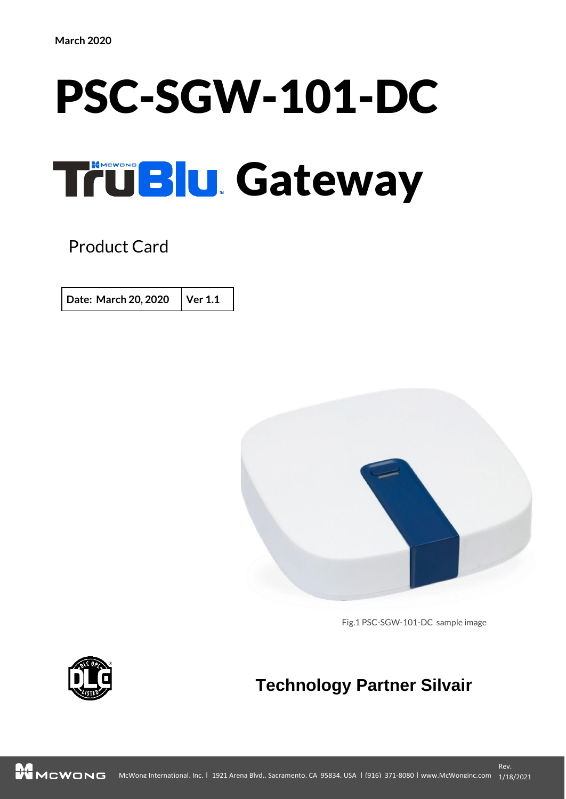# PSC-SGW-101-DC TruBlu Gateway

Product Card

**Date: March 20, 2020 Ver 1.1**



Fig.1 PSC-SGW-101-DC sample image



# **Technology Partner Silvair**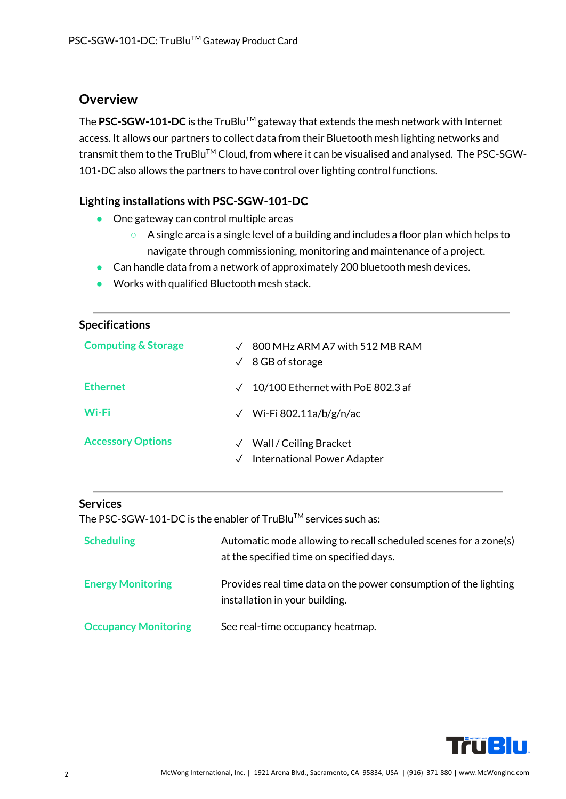### **Overview**

The PSC-SGW-101-DC is the TruBlu™ gateway that extends the mesh network with Internet access. It allows our partners to collect data from their Bluetooth mesh lighting networks and transmit them to the TruBlu™ Cloud, from where it can be visualised and analysed. The PSC-SGW-101-DC also allows the partners to have control over lighting control functions.

#### **Lighting installations with PSC-SGW-101-DC**

- One gateway can control multiple areas
	- A single area is a single level of a building and includes a floor plan which helps to navigate through commissioning, monitoring and maintenance of a project.
- Can handle data from a network of approximately 200 bluetooth mesh devices.
- Works with qualified Bluetooth mesh stack.

| <b>Specifications</b>          |                                                                                    |
|--------------------------------|------------------------------------------------------------------------------------|
| <b>Computing &amp; Storage</b> | 800 MHz ARM A7 with 512 MB RAM<br>8 GB of storage<br>$\checkmark$                  |
| <b>Ethernet</b>                | 10/100 Ethernet with PoE 802.3 af<br>$\checkmark$                                  |
| Wi-Fi                          | Wi-Fi 802.11a/b/g/n/ac<br>$\checkmark$                                             |
| <b>Accessory Options</b>       | Wall / Ceiling Bracket<br>$\sqrt{}$<br>International Power Adapter<br>$\checkmark$ |

#### **Services**

The PSC-SGW-101-DC is the enabler of TruBlu™ services such as:

| <b>Scheduling</b>           | Automatic mode allowing to recall scheduled scenes for a zone(s)<br>at the specified time on specified days. |
|-----------------------------|--------------------------------------------------------------------------------------------------------------|
| <b>Energy Monitoring</b>    | Provides real time data on the power consumption of the lighting<br>installation in your building.           |
| <b>Occupancy Monitoring</b> | See real-time occupancy heatmap.                                                                             |

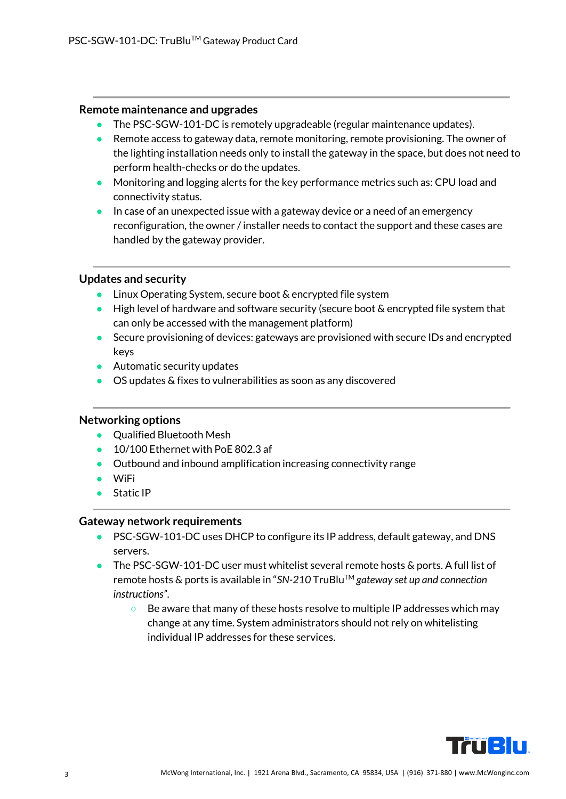#### **Remote maintenance and upgrades**

- The PSC-SGW-101-DC is remotely upgradeable (regular maintenance updates).
- Remote access to gateway data, remote monitoring, remote provisioning. The owner of the lighting installation needs only to install the gateway in the space, but does not need to perform health-checks or do the updates.
- Monitoring and logging alerts for the key performance metrics such as: CPU load and connectivity status.
- In case of an unexpected issue with a gateway device or a need of an emergency reconfiguration, the owner / installer needs to contact the support and these cases are handled by the gateway provider.

#### **Updates and security**

- Linux Operating System, secure boot & encrypted file system
- $\bullet$  High level of hardware and software security (secure boot  $\&$  encrypted file system that can only be accessed with the management platform)
- Secure provisioning of devices: gateways are provisioned with secure IDs and encrypted keys
- $\bullet$  Automatic security updates
- OS updates & fixes to vulnerabilities as soon as any discovered

#### **Networking options**

- Qualified Bluetooth Mesh
- $\bullet$  10/100 Ethernet with PoE 802.3 af
- Outbound and inbound amplification increasing connectivity range
- WiFi
- Static IP

#### **Gateway network requirements**

- PSC-SGW-101-DC uses DHCP to configure its IP address, default gateway, and DNS servers.
- The PSC-SGW-101-DC user must whitelist several remote hosts & ports. A full list of remote hosts & ports is available in "*SN-210* TruBluTM *gateway set up and connection instructions"*.
	- Be aware that many of these hosts resolve to multiple IP addresses which may change at any time. System administrators should not rely on whitelisting individual IP addresses for these services.